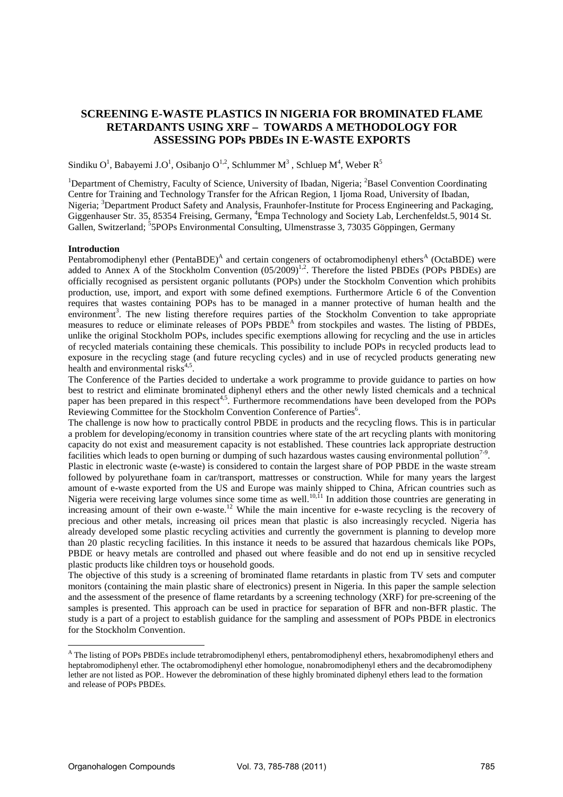# **SCREENING E-WASTE PLASTICS IN NIGERIA FOR BROMINATED FLAME RETARDANTS USING XRF – TOWARDS A METHODOLOGY FOR ASSESSING POPs PBDEs IN E-WASTE EXPORTS**

Sindiku O<sup>1</sup>, Babayemi J.O<sup>1</sup>, Osibanjo O<sup>1,2</sup>, Schlummer M<sup>3</sup>, Schluep M<sup>4</sup>, Weber R<sup>5</sup>

<sup>1</sup>Department of Chemistry, Faculty of Science, University of Ibadan, Nigeria; <sup>2</sup>Basel Convention Coordinating Centre for Training and Technology Transfer for the African Region, 1 Ijoma Road, University of Ibadan, Nigeria; <sup>3</sup>Department Product Safety and Analysis, Fraunhofer-Institute for Process Engineering and Packaging, Giggenhauser Str. 35, 85354 Freising, Germany, <sup>4</sup>Empa Technology and Society Lab, Lerchenfeldst.5, 9014 St. Gallen, Switzerland; <sup>5</sup>5POPs Environmental Consulting, Ulmenstrasse 3, 73035 Göppingen, Germany

#### **Introduction**

Pentabromodiphenyl ether (PentaBDE)<sup>A</sup> and certain congeners of octabromodiphenyl ethers<sup>A</sup> (OctaBDE) were added to Annex A of the Stockholm Convention  $(05/2009)^{1,2}$ . Therefore the listed PBDEs (POPs PBDEs) are officially recognised as persistent organic pollutants (POPs) under the Stockholm Convention which prohibits production, use, import, and export with some defined exemptions. Furthermore Article 6 of the Convention requires that wastes containing POPs has to be managed in a manner protective of human health and the environment<sup>3</sup>. The new listing therefore requires parties of the Stockholm Convention to take appropriate measures to reduce or eliminate releases of POPs PBDE<sup>A</sup> from stockpiles and wastes. The listing of PBDEs, unlike the original Stockholm POPs, includes specific exemptions allowing for recycling and the use in articles of recycled materials containing these chemicals. This possibility to include POPs in recycled products lead to exposure in the recycling stage (and future recycling cycles) and in use of recycled products generating new health and environmental risks<sup>4,5</sup>.

The Conference of the Parties decided to undertake a work programme to provide guidance to parties on how best to restrict and eliminate brominated diphenyl ethers and the other newly listed chemicals and a technical paper has been prepared in this respect<sup>4,5</sup>. Furthermore recommendations have been developed from the POPs Reviewing Committee for the Stockholm Convention Conference of Parties<sup>6</sup>.

The challenge is now how to practically control PBDE in products and the recycling flows. This is in particular a problem for developing/economy in transition countries where state of the art recycling plants with monitoring capacity do not exist and measurement capacity is not established. These countries lack appropriate destruction facilities which leads to open burning or dumping of such hazardous wastes causing environmental pollution<sup>7-9</sup>.

Plastic in electronic waste (e-waste) is considered to contain the largest share of POP PBDE in the waste stream followed by polyurethane foam in car/transport, mattresses or construction. While for many years the largest amount of e-waste exported from the US and Europe was mainly shipped to China, African countries such as Nigeria were receiving large volumes since some time as well.<sup>10,11</sup> In addition those countries are generating in increasing amount of their own e-waste.<sup>12</sup> While the main incentive for e-waste recycling is the recovery of precious and other metals, increasing oil prices mean that plastic is also increasingly recycled. Nigeria has already developed some plastic recycling activities and currently the government is planning to develop more than 20 plastic recycling facilities. In this instance it needs to be assured that hazardous chemicals like POPs, PBDE or heavy metals are controlled and phased out where feasible and do not end up in sensitive recycled plastic products like children toys or household goods.

The objective of this study is a screening of brominated flame retardants in plastic from TV sets and computer monitors (containing the main plastic share of electronics) present in Nigeria. In this paper the sample selection and the assessment of the presence of flame retardants by a screening technology (XRF) for pre-screening of the samples is presented. This approach can be used in practice for separation of BFR and non-BFR plastic. The study is a part of a project to establish guidance for the sampling and assessment of POPs PBDE in electronics for the Stockholm Convention.

l

<sup>&</sup>lt;sup>A</sup> The listing of POPs PBDEs include tetrabromodiphenyl ethers, pentabromodiphenyl ethers, hexabromodiphenyl ethers and heptabromodiphenyl ether. The octabromodiphenyl ether homologue, nonabromodiphenyl ethers and the decabromodipheny lether are not listed as POP.. However the debromination of these highly brominated diphenyl ethers lead to the formation and release of POPs PBDEs.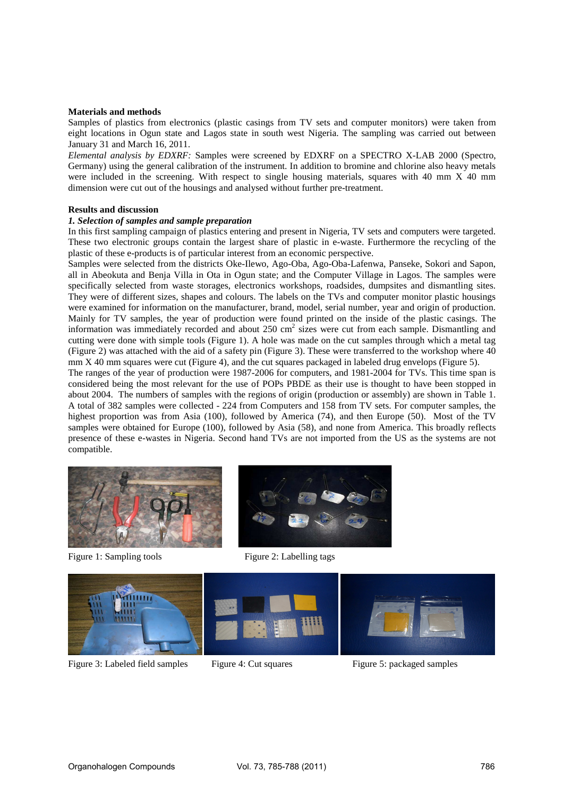### **Materials and methods**

Samples of plastics from electronics (plastic casings from TV sets and computer monitors) were taken from eight locations in Ogun state and Lagos state in south west Nigeria. The sampling was carried out between January 31 and March 16, 2011.

*Elemental analysis by EDXRF:* Samples were screened by EDXRF on a SPECTRO X-LAB 2000 (Spectro, Germany) using the general calibration of the instrument. In addition to bromine and chlorine also heavy metals were included in the screening. With respect to single housing materials, squares with 40 mm X 40 mm dimension were cut out of the housings and analysed without further pre-treatment.

### **Results and discussion**

### *1. Selection of samples and sample preparation*

In this first sampling campaign of plastics entering and present in Nigeria, TV sets and computers were targeted. These two electronic groups contain the largest share of plastic in e-waste. Furthermore the recycling of the plastic of these e-products is of particular interest from an economic perspective.

Samples were selected from the districts Oke-Ilewo, Ago-Oba, Ago-Oba-Lafenwa, Panseke, Sokori and Sapon, all in Abeokuta and Benja Villa in Ota in Ogun state; and the Computer Village in Lagos. The samples were specifically selected from waste storages, electronics workshops, roadsides, dumpsites and dismantling sites. They were of different sizes, shapes and colours. The labels on the TVs and computer monitor plastic housings were examined for information on the manufacturer, brand, model, serial number, year and origin of production. Mainly for TV samples, the year of production were found printed on the inside of the plastic casings. The information was immediately recorded and about  $250 \text{ cm}^2$  sizes were cut from each sample. Dismantling and cutting were done with simple tools (Figure 1). A hole was made on the cut samples through which a metal tag (Figure 2) was attached with the aid of a safety pin (Figure 3). These were transferred to the workshop where 40 mm X 40 mm squares were cut (Figure 4), and the cut squares packaged in labeled drug envelops (Figure 5).

The ranges of the year of production were 1987-2006 for computers, and 1981-2004 for TVs. This time span is considered being the most relevant for the use of POPs PBDE as their use is thought to have been stopped in about 2004. The numbers of samples with the regions of origin (production or assembly) are shown in Table 1. A total of 382 samples were collected - 224 from Computers and 158 from TV sets. For computer samples, the highest proportion was from Asia (100), followed by America (74), and then Europe (50). Most of the TV samples were obtained for Europe (100), followed by Asia (58), and none from America. This broadly reflects presence of these e-wastes in Nigeria. Second hand TVs are not imported from the US as the systems are not compatible.



Figure 1: Sampling tools Figure 2: Labelling tags





Figure 3: Labeled field samples Figure 4: Cut squares Figure 5: packaged samples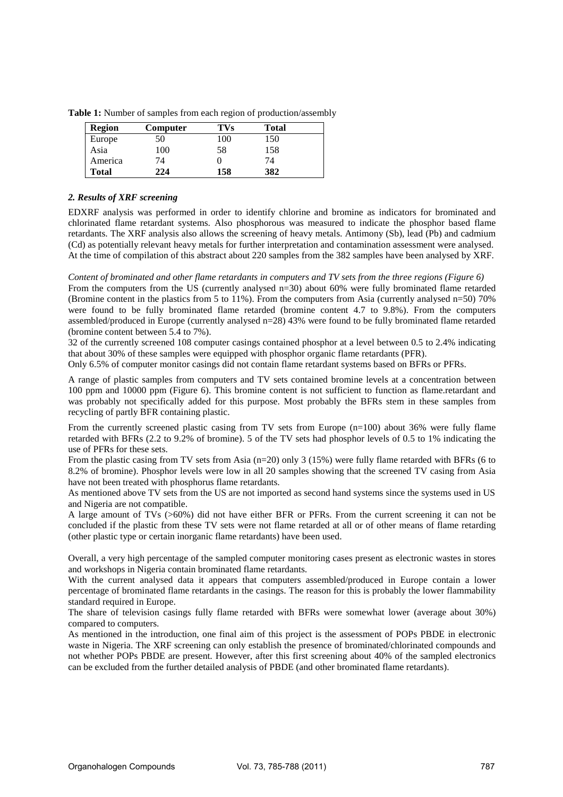| <b>Region</b> | Computer | TVs | <b>Total</b> |
|---------------|----------|-----|--------------|
| Europe        | 50       | 100 | 150          |
| Asia          | 100      | 58  | 158          |
| America       | 74       |     | 74           |
| <b>Total</b>  | 224      | 158 | 382          |

**Table 1:** Number of samples from each region of production/assembly

## *2. Results of XRF screening*

EDXRF analysis was performed in order to identify chlorine and bromine as indicators for brominated and chlorinated flame retardant systems. Also phosphorous was measured to indicate the phosphor based flame retardants. The XRF analysis also allows the screening of heavy metals. Antimony (Sb), lead (Pb) and cadmium (Cd) as potentially relevant heavy metals for further interpretation and contamination assessment were analysed. At the time of compilation of this abstract about 220 samples from the 382 samples have been analysed by XRF.

*Content of brominated and other flame retardants in computers and TV sets from the three regions (Figure 6)*  From the computers from the US (currently analysed n=30) about 60% were fully brominated flame retarded (Bromine content in the plastics from 5 to 11%). From the computers from Asia (currently analysed n=50) 70% were found to be fully brominated flame retarded (bromine content 4.7 to 9.8%). From the computers assembled/produced in Europe (currently analysed n=28) 43% were found to be fully brominated flame retarded (bromine content between 5.4 to 7%).

32 of the currently screened 108 computer casings contained phosphor at a level between 0.5 to 2.4% indicating that about 30% of these samples were equipped with phosphor organic flame retardants (PFR).

Only 6.5% of computer monitor casings did not contain flame retardant systems based on BFRs or PFRs.

A range of plastic samples from computers and TV sets contained bromine levels at a concentration between 100 ppm and 10000 ppm (Figure 6). This bromine content is not sufficient to function as flame.retardant and was probably not specifically added for this purpose. Most probably the BFRs stem in these samples from recycling of partly BFR containing plastic.

From the currently screened plastic casing from TV sets from Europe (n=100) about 36% were fully flame retarded with BFRs (2.2 to 9.2% of bromine). 5 of the TV sets had phosphor levels of 0.5 to 1% indicating the use of PFRs for these sets.

From the plastic casing from TV sets from Asia (n=20) only 3 (15%) were fully flame retarded with BFRs (6 to 8.2% of bromine). Phosphor levels were low in all 20 samples showing that the screened TV casing from Asia have not been treated with phosphorus flame retardants.

As mentioned above TV sets from the US are not imported as second hand systems since the systems used in US and Nigeria are not compatible.

A large amount of TVs (>60%) did not have either BFR or PFRs. From the current screening it can not be concluded if the plastic from these TV sets were not flame retarded at all or of other means of flame retarding (other plastic type or certain inorganic flame retardants) have been used.

Overall, a very high percentage of the sampled computer monitoring cases present as electronic wastes in stores and workshops in Nigeria contain brominated flame retardants.

With the current analysed data it appears that computers assembled/produced in Europe contain a lower percentage of brominated flame retardants in the casings. The reason for this is probably the lower flammability standard required in Europe.

The share of television casings fully flame retarded with BFRs were somewhat lower (average about 30%) compared to computers.

As mentioned in the introduction, one final aim of this project is the assessment of POPs PBDE in electronic waste in Nigeria. The XRF screening can only establish the presence of brominated/chlorinated compounds and not whether POPs PBDE are present. However, after this first screening about 40% of the sampled electronics can be excluded from the further detailed analysis of PBDE (and other brominated flame retardants).